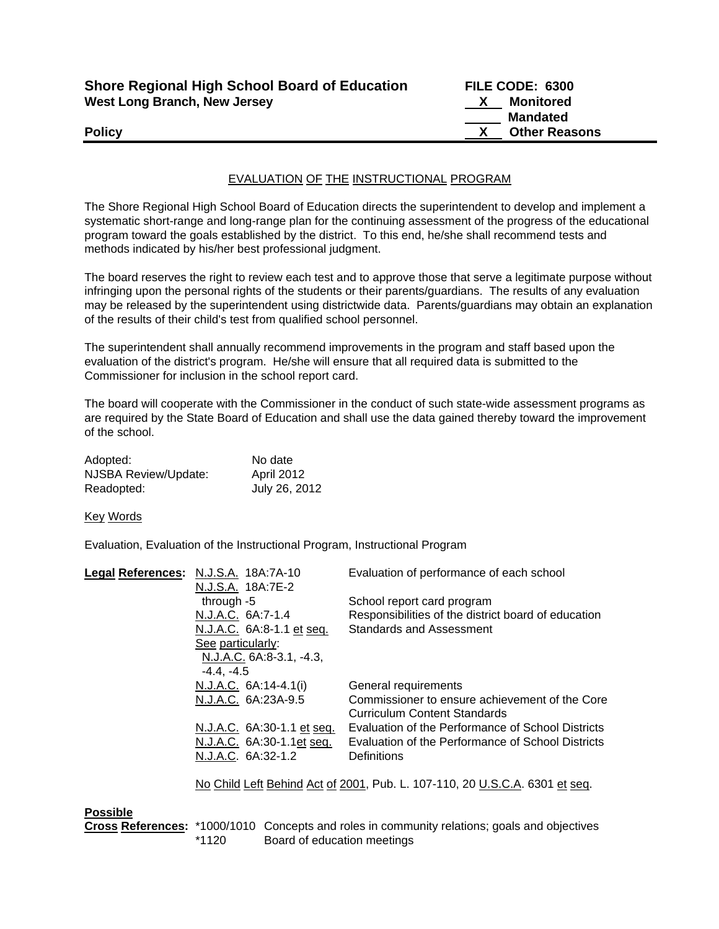| <b>Shore Regional High School Board of Education</b> | FILE CODE: 6300      |
|------------------------------------------------------|----------------------|
| <b>West Long Branch, New Jersey</b>                  | Monitored            |
|                                                      | <b>Mandated</b>      |
| <b>Policy</b>                                        | <b>Other Reasons</b> |

## EVALUATION OF THE INSTRUCTIONAL PROGRAM

The Shore Regional High School Board of Education directs the superintendent to develop and implement a systematic short-range and long-range plan for the continuing assessment of the progress of the educational program toward the goals established by the district. To this end, he/she shall recommend tests and methods indicated by his/her best professional judgment.

The board reserves the right to review each test and to approve those that serve a legitimate purpose without infringing upon the personal rights of the students or their parents/guardians. The results of any evaluation may be released by the superintendent using districtwide data. Parents/guardians may obtain an explanation of the results of their child's test from qualified school personnel.

The superintendent shall annually recommend improvements in the program and staff based upon the evaluation of the district's program. He/she will ensure that all required data is submitted to the Commissioner for inclusion in the school report card.

The board will cooperate with the Commissioner in the conduct of such state-wide assessment programs as are required by the State Board of Education and shall use the data gained thereby toward the improvement of the school.

| Adopted:             | No date       |
|----------------------|---------------|
| NJSBA Review/Update: | April 2012    |
| Readopted:           | July 26, 2012 |

Key Words

Evaluation, Evaluation of the Instructional Program, Instructional Program

| Legal References: N.J.S.A. 18A:7A-10 | Evaluation of performance of each school                                    |
|--------------------------------------|-----------------------------------------------------------------------------|
| N.J.S.A. 18A:7E-2                    |                                                                             |
| through $-5$                         | School report card program                                                  |
| N.J.A.C. 6A:7-1.4                    | Responsibilities of the district board of education                         |
| N.J.A.C. 6A:8-1.1 et seq.            | <b>Standards and Assessment</b>                                             |
| See particularly:                    |                                                                             |
| N.J.A.C. 6A:8-3.1, -4.3,             |                                                                             |
| $-4.4. -4.5$                         |                                                                             |
| $N.J.A.C. 6A:14-4.1(i)$              | General requirements                                                        |
| N.J.A.C. 6A:23A-9.5                  | Commissioner to ensure achievement of the Core                              |
|                                      | Curriculum Content Standards                                                |
| N.J.A.C. 6A:30-1.1 et seq.           | Evaluation of the Performance of School Districts                           |
| N.J.A.C. 6A:30-1.1et seq.            | Evaluation of the Performance of School Districts                           |
| N.J.A.C. 6A:32-1.2                   | Definitions                                                                 |
|                                      | No Child Left Behind Act of 2001, Pub. L. 107-110, 20 U.S.C.A. 6301 et seq. |

## **Possible**

**Cross References:** \*1000/1010 Concepts and roles in community relations; goals and objectives \*1120 Board of education meetings